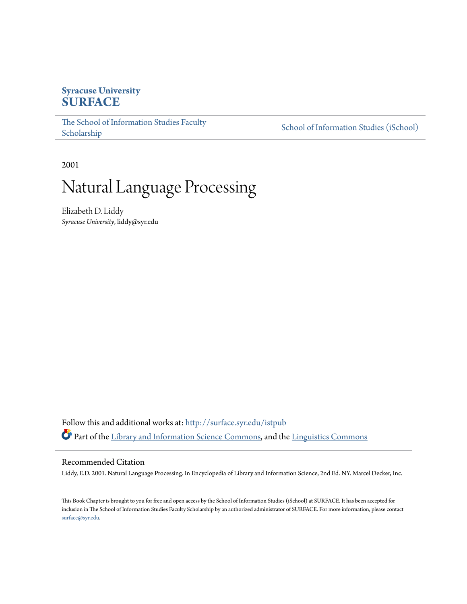# **Syracuse University [SURFACE](http://surface.syr.edu?utm_source=surface.syr.edu%2Fistpub%2F63&utm_medium=PDF&utm_campaign=PDFCoverPages)**

The School of Information Studies Faculty [School of Information Studies \(iSchool\)](http://surface.syr.edu/ischool?utm_source=surface.syr.edu%2Fistpub%2F63&utm_medium=PDF&utm_campaign=PDFCoverPages) School of Information Studies (iSchool)

2001

# Natural Language Processing

Elizabeth D. Liddy *Syracuse University*, liddy@syr.edu

Follow this and additional works at: [htp://surface.syr.edu/istpub](http://surface.syr.edu/istpub?utm_source=surface.syr.edu%2Fistpub%2F63&utm_medium=PDF&utm_campaign=PDFCoverPages)  Part of the [Library and Information Science Commons,](http://network.bepress.com/hgg/discipline/1018?utm_source=surface.syr.edu%2Fistpub%2F63&utm_medium=PDF&utm_campaign=PDFCoverPages) and the [Linguistics Commons](http://network.bepress.com/hgg/discipline/371?utm_source=surface.syr.edu%2Fistpub%2F63&utm_medium=PDF&utm_campaign=PDFCoverPages) 

#### Recommended Citation

Liddy, E.D. 2001. Natural Language Processing. In Encyclopedia of Library and Information Science, 2nd Ed. NY. Marcel Decker, Inc.

Tis Book Chapter is brought to you for free and open access by the School of Information Studies (iSchool) at SURFACE. It has been accepted for inclusion in Te School of Information Studies Faculty Scholarship by an authorized administrator of SURFACE. For more information, please contact [surface@syr.edu](mailto:surface@syr.edu).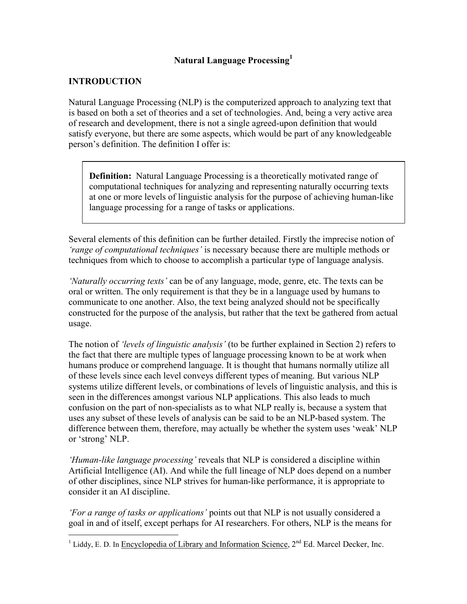# Natural Language Processing $^{\rm l}$

# INTRODUCTION

Natural Language Processing (NLP) is the computerized approach to analyzing text that is based on both a set of theories and a set of technologies. And, being a very active area of research and development, there is not a single agreed-upon definition that would satisfy everyone, but there are some aspects, which would be part of any knowledgeable person's definition. The definition I offer is:

**Definition:** Natural Language Processing is a theoretically motivated range of computational techniques for analyzing and representing naturally occurring texts at one or more levels of linguistic analysis for the purpose of achieving human-like language processing for a range of tasks or applications.

Several elements of this definition can be further detailed. Firstly the imprecise notion of 'range of computational techniques' is necessary because there are multiple methods or techniques from which to choose to accomplish a particular type of language analysis.

'Naturally occurring texts' can be of any language, mode, genre, etc. The texts can be oral or written. The only requirement is that they be in a language used by humans to communicate to one another. Also, the text being analyzed should not be specifically constructed for the purpose of the analysis, but rather that the text be gathered from actual usage.

usage.<br>The notion of *'levels of linguistic analysis'* (to be further explained in Section 2) refers to the fact that there are multiple types of language processing known to be at work when humans produce or comprehend language. It is thought that humans normally utilize al of these levels since each level conveys different types of meaning. But various NLP systems utilize different levels, or combinations of levels of linguistic analysis, and this is seen in the differences amongst various NLP applications. This also leads to much confusion on the part of non-specialists as to what NLP really is, because a system that uses any subset of these levels of analysis can be said to be an NLP-based system. The difference between them, therefore, may actually be whether the system uses 'weak' NLP or 'strong' NLP.

'Human-like language processing' reveals that NLP is considered a discipline within Artificial Intelligence (AI). And while the full lineage of NLP does depend on a number of other disciplines, since NLP strives for human-like performance, it is appropriate to consider it an AI discipline.

'For a range of tasks or applications' points out that NLP is not usually considered a goal in and of itself, except perhaps for AI researchers. For others, NLP is the means for

-<sup>1</sup> Liddy, E. D. In Encyclopedia of Library and Information Science,  $2<sup>nd</sup>$  Ed. Marcel Decker, Inc.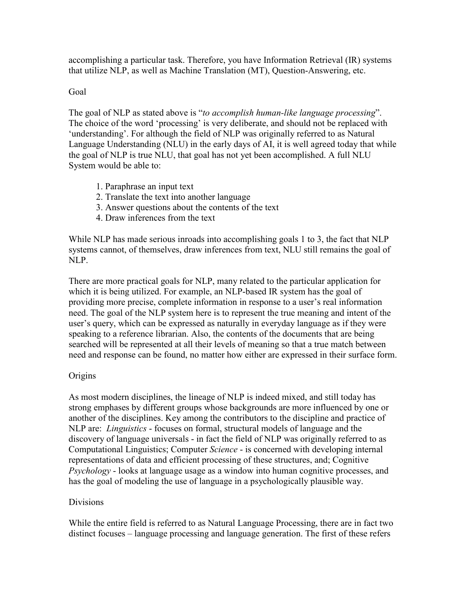accomplishing a particular task. Therefore, you have Information Retrieval (IR) systems that utilize NLP, as well as Machine Translation (MT), Question-Answering, etc.

# Goa

The goal of NLP as stated above is "to accomplish human-like language processing". The choice of the word 'processing' is very deliberate, and should not be replaced with 'understanding'. For although the field of NLP was originally referred to as Natural Language Understanding (NLU) in the early days of AI, it is well agreed today that while the goal of NLP is true NLU, that goal has not yet been accomplished. A full NLU System would be able to:

- 1. Paraphrase an input text
- 2. Translate the text into another language
- 3. Answer questions about the contents of the text
- 4. Draw inferences from the text

While NLP has made serious inroads into accomplishing goals 1 to 3, the fact that NLP systems cannot, of themselves, draw inferences from text, NLU still remains the goal of NLP.

There are more practical goals for NLP, many related to the particular application for which it is being utilized. For example, an NLP-based IR system has the goal of providing more precise, complete information in response to a user's real information need. The goal of the NLP system here is to represent the true meaning and intent of the user's query, which can be expressed as naturally in everyday language as if they were speaking to a reference librarian. Also, the contents of the documents that are being searched will be represented at all their levels of meaning so that a true match between need and response can be found, no matter how either are expressed in their surface form.

# **Origins**

As most modern disciplines, the lineage of NLP is indeed mixed, and still today has strong emphases by different groups whose backgrounds are more influenced by one or another of the disciplines. Key among the contributors to the discipline and practice of NLP are: *Linguistics* - focuses on formal, structural models of language and the discovery of language universals - in fact the field of NLP was originally referred to as Computational Linguistics; Computer Science - is concerned with developing internal representations of data and efficient processing of these structures, and; Cognitive Psychology - looks at language usage as a window into human cognitive processes, and has the goal of modeling the use of language in a psychologically plausible way.

# Divisions

While the entire field is referred to as Natural Language Processing, there are in fact two distinct focuses – language processing and language generation. The first of these refers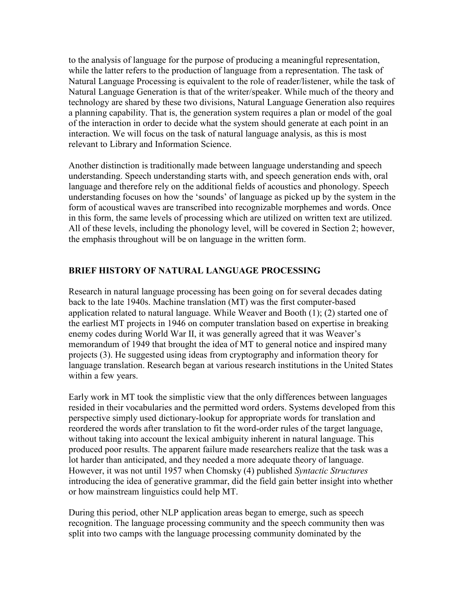to the analysis of language for the purpose of producing a meaningful representation, while the latter refers to the production of language from a representation. The task of Natural Language Processing is equivalent to the role of reader/listener, while the task of Natural Language Generation is that of the writer/speaker. While much of the theory and technology are shared by these two divisions, Natural Language Generation also requires a planning capability. That is, the generation system requires a plan or model of the goal of the interaction in order to decide what the system should generate at each point in an interaction. We will focus on the task of natural language analysis, as this is most relevant to Library and Information Science.

Another distinction is traditionally made between language understanding and speech understanding. Speech understanding starts with, and speech generation ends with, ora language and therefore rely on the additional fields of acoustics and phonology. Speech understanding focuses on how the 'sounds' of language as picked up by the system in the form of acoustical waves are transcribed into recognizable morphemes and words. Once in this form, the same levels of processing which are utilized on written text are utilized. All of these levels, including the phonology level, will be covered in Section 2; however, the emphasis throughout will be on language in the written form.

# BRIEF HISTORY OF NATURAL LANGUAGE PROCESSING

Research in natural language processing has been going on for several decades dating back to the late 1940s. Machine translation (MT) was the first computer-based application related to natural language. While Weaver and Booth  $(1)$ ;  $(2)$  started one of the earliest MT projects in 1946 on computer translation based on expertise in breaking enemy codes during World War II, it was generally agreed that it was Weaver's memorandum of 1949 that brought the idea of MT to general notice and inspired many projects (3). He suggested using ideas from cryptography and information theory for language translation. Research began at various research institutions in the United States within a few years.

Early work in MT took the simplistic view that the only differences between languages resided in their vocabularies and the permitted word orders. Systems developed from this perspective simply used dictionary-lookup for appropriate words for translation and reordered the words after translation to fit the word-order rules of the target language, without taking into account the lexical ambiguity inherent in natural language. This produced poor results. The apparent failure made researchers realize that the task was a lot harder than anticipated, and they needed a more adequate theory of language. However, it was not until 1957 when Chomsky (4) published Syntactic Structures introducing the idea of generative grammar, did the field gain better insight into whether or how mainstream linguistics could help MT.

During this period, other NLP application areas began to emerge, such as speech recognition. The language processing community and the speech community then was split into two camps with the language processing community dominated by the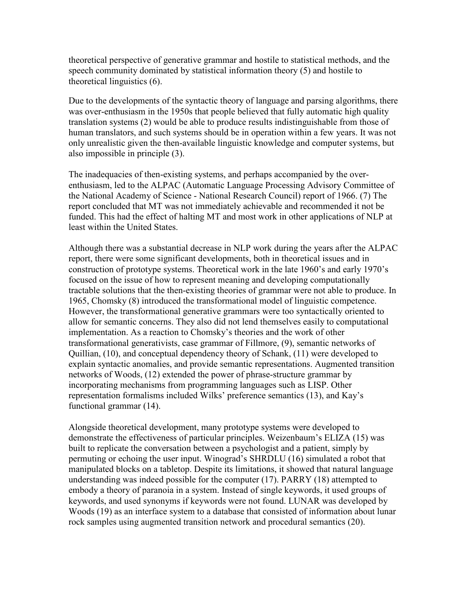theoretical perspective of generative grammar and hostile to statistical methods, and the speech community dominated by statistical information theory  $(5)$  and hostile to theoretical linguistics  $(6)$ .

Due to the developments of the syntactic theory of language and parsing algorithms, there was over-enthusiasm in the 1950s that people believed that fully automatic high quality translation systems (2) would be able to produce results indistinguishable from those of human translators, and such systems should be in operation within a few years. It was not only unrealistic given the then-available linguistic knowledge and computer systems, but also impossible in principle (3).

 The inadequacies of then-existing systems, and perhaps accompanied by the overenthusiasm, led to the ALPAC (Automatic Language Processing Advisory Committee of the National Academy of Science - National Research Council) report of 1966. (7) The report concluded that MT was not immediately achievable and recommended it not be funded. This had the effect of halting MT and most work in other applications of NLP at least within the United States.

Although there was a substantial decrease in NLP work during the years after the ALPAC report, there were some significant developments, both in theoretical issues and in construction of prototype systems. Theoretical work in the late 1960's and early 1970's focused on the issue of how to represent meaning and developing computationally tractable solutions that the then-existing theories of grammar were not able to produce. In 1965, Chomsky (8) introduced the transformational model of linguistic competence. However, the transformational generative grammars were too syntactically oriented to allow for semantic concerns. They also did not lend themselves easily to computational implementation. As a reaction to Chomsky's theories and the work of other transformational generativists, case grammar of Fillmore, (9), semantic networks of Quillian, (10), and conceptual dependency theory of Schank, (11) were developed to explain syntactic anomalies, and provide semantic representations. Augmented transition networks of Woods, (12) extended the power of phrase-structure grammar by incorporating mechanisms from programming languages such as LISP. Other representation formalisms included Wilks' preference semantics (13), and Kay's functional grammar  $(14)$ .

Alongside theoretical development, many prototype systems were developed to demonstrate the effectiveness of particular principles. Weizenbaum's ELIZA (15) was built to replicate the conversation between a psychologist and a patient, simply by permuting or echoing the user input. Winograd's SHRDLU (16) simulated a robot that manipulated blocks on a tabletop. Despite its limitations, it showed that natural language understanding was indeed possible for the computer  $(17)$ . PARRY  $(18)$  attempted to embody a theory of paranoia in a system. Instead of single keywords, it used groups of keywords, and used synonyms if keywords were not found. LUNAR was developed by Woods (19) as an interface system to a database that consisted of information about unar rock samples using augmented transition network and procedural semantics (20).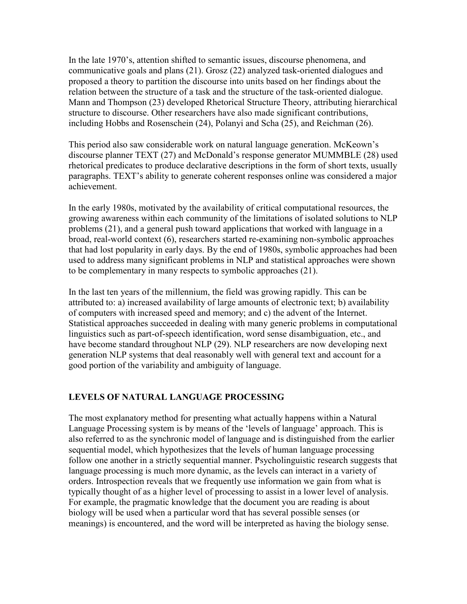In the late 1970's, attention shifted to semantic issues, discourse phenomena, and communicative goals and plans (21). Grosz (22) analyzed task-oriented dialogues and proposed a theory to partition the discourse into units based on her findings about the relation between the structure of a task and the structure of the task-oriented dialogue. Mann and Thompson (23) developed Rhetorical Structure Theory, attributing hierarchical structure to discourse. Other researchers have also made significant contributions, including Hobbs and Rosenschein (24), Polanyi and Scha (25), and Reichman (26).

This period also saw considerable work on natural language generation. McKeown's discourse planner TEXT (27) and McDonald's response generator MUMMBLE (28) used rhetorical predicates to produce declarative descriptions in the form of short texts, usually paragraphs. TEXT's ability to generate coherent responses online was considered a major achievement.

In the early 1980s, motivated by the availability of critical computational resources, the growing awareness within each community of the limitations of isolated solutions to NLP problems (21), and a general push toward applications that worked with language in a broad, real-world context (6), researchers started re-examining non-symbolic approaches that had lost popularity in early days. By the end of 1980s, symbolic approaches had been used to address many significant problems in NLP and statistical approaches were shown to be complementary in many respects to symbolic approaches (21).

In the last ten years of the millennium, the field was growing rapidly. This can be attributed to: a) increased availability of large amounts of electronic text; b) availability of computers with increased speed and memory; and c) the advent of the Internet. Statistical approaches succeeded in dealing with many generic problems in computational inguistics such as part-of-speech identification, word sense disambiguation, etc., and have become standard throughout NLP (29). NLP researchers are now developing next generation NLP systems that deal reasonably well with general text and account for a good portion of the variability and ambiguity of language.

# LEVELS OF NATURAL LANGUAGE PROCESSING

The most explanatory method for presenting what actually happens within a Natural Language Processing system is by means of the 'levels of language' approach. This is also referred to as the synchronic model of language and is distinguished from the earlier sequential model, which hypothesizes that the levels of human language processing follow one another in a strictly sequential manner. Psycholinguistic research suggests that language processing is much more dynamic, as the levels can interact in a variety of orders. Introspection reveals that we frequently use information we gain from what is typically thought of as a higher level of processing to assist in a lower level of analysis. For example, the pragmatic knowledge that the document you are reading is about biology will be used when a particular word that has several possible senses (or meanings) is encountered, and the word will be interpreted as having the biology sense.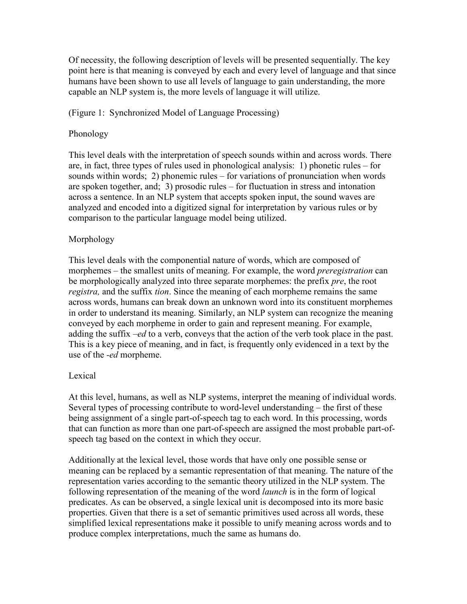Of necessity, the following description of levels will be presented sequentially. The key point here is that meaning is conveyed by each and every level of language and that since humans have been shown to use all levels of language to gain understanding, the more capable an NLP system is, the more levels of language it will utilize.

# (Figure 1: Synchronized Model of Language Processing)

#### Phonology

This level deals with the interpretation of speech sounds within and across words. There are, in fact, three types of rules used in phonological analysis: 1) phonetic rules  $-$  for sounds within words; 2) phonemic rules – for variations of pronunciation when words are spoken together, and; 3) prosodic rules – for fluctuation in stress and intonation across a sentence. In an NLP system that accepts spoken input, the sound waves are analyzed and encoded into a digitized signal for interpretation by various rules or by comparison to the particular language model being utilized.

#### Morphology

This level deals with the componential nature of words, which are composed of morphemes – the smallest units of meaning. For example, the word *preregistration* can be morphologically analyzed into three separate morphemes: the prefix *pre*, the root *registra*, and the suffix *tion*. Since the meaning of each morpheme remains the same across words, humans can break down an unknown word into its constituent morphemes in order to understand its meaning. Similarly, an NLP system can recognize the meaning conveyed by each morpheme in order to gain and represent meaning. For example, adding the suffix –ed to a verb, conveys that the action of the verb took place in the past. This is a key piece of meaning, and in fact, is frequently only evidenced in a text by the use of the *-ed* morpheme.

#### **Lexical**

At this level, humans, as well as NLP systems, interpret the meaning of individual words. Several types of processing contribute to word-level understanding – the first of these being assignment of a single part-of-speech tag to each word. In this processing, words that can function as more than one part-of-speech are assigned the most probable part-of-speech tag based on the context in which they occur.

Additionally at the lexical level, those words that have only one possible sense or meaning can be replaced by a semantic representation of that meaning. The nature of the representation varies according to the semantic theory utilized in the NLP system. The following representation of the meaning of the word *launch* is in the form of logical predicates. As can be observed, a single lexical unit is decomposed into its more basic properties. Given that there is a set of semantic primitives used across all words, these simplified lexical representations make it possible to unify meaning across words and to produce complex interpretations, much the same as humans do.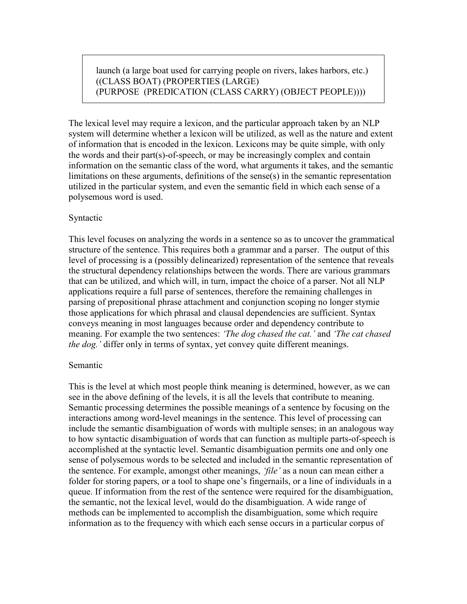launch (a large boat used for carrying people on rivers, lakes harbors, etc.) ((CLASS BOAT) (PROPERTIES (LARGE) (PURPOSE (PREDICATION (CLASS CARRY) (OBJECT PEOPLE))))

The lexical level may require a lexicon, and the particular approach taken by an NLP system will determine whether a lexicon will be utilized, as well as the nature and extent of information that is encoded in the lexicon. Lexicons may be quite simple, with only the words and their part(s)-of-speech, or may be increasingly complex and contain information on the semantic class of the word, what arguments it takes, and the semantic imitations on these arguments, definitions of the sense(s) in the semantic representation utilized in the particular system, and even the semantic field in which each sense of a polysemous word is used.

#### Syntactic

This level focuses on analyzing the words in a sentence so as to uncover the grammatical structure of the sentence. This requires both a grammar and a parser. The output of this level of processing is a (possibly delinearized) representation of the sentence that reveals the structural dependency relationships between the words. There are various grammars that can be utilized, and which will, in turn, impact the choice of a parser. Not all NLP applications require a full parse of sentences, therefore the remaining challenges in parsing of prepositional phrase attachment and conjunction scoping no longer stymie those applications for which phrasal and clausal dependencies are sufficient. Syntax conveys meaning in most languages because order and dependency contribute to meaning. For example the two sentences: 'The dog chased the cat.' and 'The cat chased the dog.' differ only in terms of syntax, yet convey quite different meanings.

#### Semantic

This is the level at which most people think meaning is determined, however, as we can see in the above defining of the levels, it is all the levels that contribute to meaning. Semantic processing determines the possible meanings of a sentence by focusing on the interactions among word-level meanings in the sentence. This level of processing can include the semantic disambiguation of words with multiple senses; in an analogous way to how syntactic disambiguation of words that can function as multiple parts-of-speech is accomplished at the syntactic level. Semantic disambiguation permits one and only one sense of polysemous words to be selected and included in the semantic representation of the sentence. For example, amongst other meanings, 'file' as a noun can mean either a folder for storing papers, or a tool to shape one's fingernails, or a line of individuals in a queue. If information from the rest of the sentence were required for the disambiguation, the semantic, not the lexical level, would do the disambiguation. A wide range of methods can be implemented to accomplish the disambiguation, some which require information as to the frequency with which each sense occurs in a particular corpus of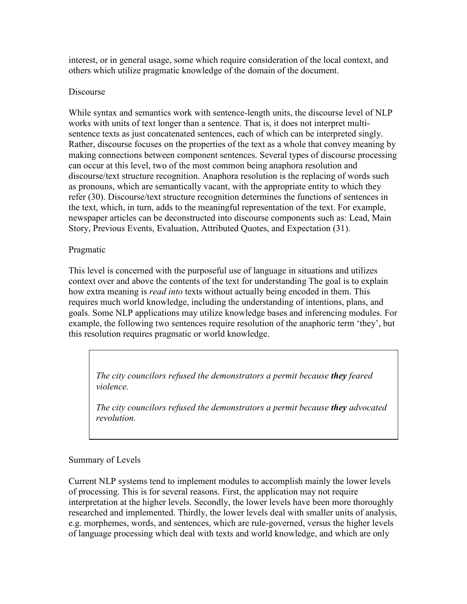interest, or in general usage, some which require consideration of the local context, and others which utilize pragmatic knowledge of the domain of the document.

# Discourse

While syntax and semantics work with sentence-length units, the discourse level of NLP works with units of text longer than a sentence. That is, it does not interpret multisentence texts as just concatenated sentences, each of which can be interpreted singly. Rather, discourse focuses on the properties of the text as a whole that convey meaning by making connections between component sentences. Several types of discourse processing can occur at this level, two of the most common being anaphora resolution and discourse/text structure recognition. Anaphora resolution is the replacing of words such as pronouns, which are semantically vacant, with the appropriate entity to which they refer (30). Discourse/text structure recognition determines the functions of sentences in the text, which, in turn, adds to the meaningful representation of the text. For example, newspaper articles can be deconstructed into discourse components such as: Lead, Main Story, Previous Events, Evaluation, Attributed Quotes, and Expectation (31).

# Pragmatic

This level is concerned with the purposeful use of language in situations and utilizes context over and above the contents of the text for understanding The goal is to explain how extra meaning is *read into* texts without actually being encoded in them. This requires much world knowledge, including the understanding of intentions, plans, and goals. Some NLP applications may utilize knowledge bases and inferencing modules. For example, the following two sentences require resolution of the anaphoric term 'they', but this resolution requires pragmatic or world knowledge.

The city councilors refused the demonstrators a permit because they feared violence.

The city councilors refused the demonstrators a permit because they advocated revolution.

# Summary of Levels

Current NLP systems tend to implement modules to accomplish mainly the lower levels of processing. This is for several reasons. First, the application may not require interpretation at the higher levels. Secondly, the lower levels have been more thoroughly researched and implemented. Thirdly, the lower levels deal with smaller units of analysis, e.g. morphemes, words, and sentences, which are rule-governed, versus the higher levels of language processing which deal with texts and world knowledge, and which are only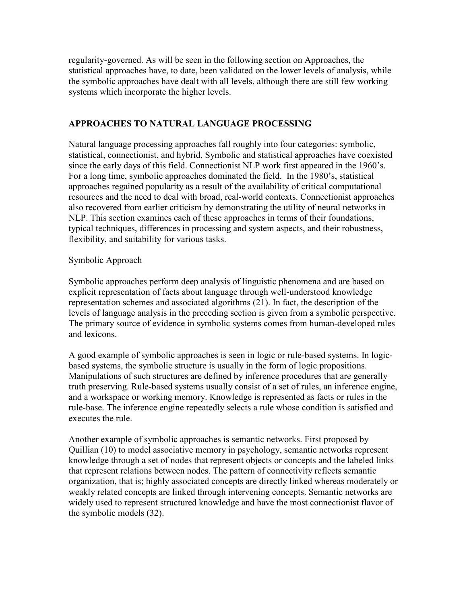regularity-governed. As will be seen in the following section on Approaches, the statistical approaches have, to date, been validated on the lower levels of analysis, while the symbolic approaches have dealt with all levels, although there are still few working systems which incorporate the higher levels.

## APPROACHES TO NATURAL LANGUAGE PROCESSING

Natural language processing approaches fall roughly into four categories: symbolic, statistical, connectionist, and hybrid. Symbolic and statistical approaches have coexisted since the early days of this field. Connectionist NLP work first appeared in the 1960's. For a long time, symbolic approaches dominated the field. In the 1980's, statistical approaches regained popularity as a result of the availability of critical computational resources and the need to deal with broad, real-world contexts. Connectionist approaches also recovered from earlier criticism by demonstrating the utility of neural networks in NLP. This section examines each of these approaches in terms of their foundations, typical techniques, differences in processing and system aspects, and their robustness, flexibility, and suitability for various tasks.

## Symbolic Approach

Symbolic approaches perform deep analysis of linguistic phenomena and are based on explicit representation of facts about language through well-understood knowledge representation schemes and associated algorithms (21). In fact, the description of the levels of language analysis in the preceding section is given from a symbolic perspective. The primary source of evidence in symbolic systems comes from human-developed rules and lexicons.

A good example of symbolic approaches is seen in logic or rule-based systems. In logicbased systems, the symbolic structure is usually in the form of logic propositions. Manipulations of such structures are defined by inference procedures that are generally truth preserving. Rule-based systems usually consist of a set of rules, an inference engine, and a workspace or working memory. Knowledge is represented as facts or rules in the rule-base. The inference engine repeatedly selects a rule whose condition is satisfied and executes the rule.

Another example of symbolic approaches is semantic networks. First proposed by Quillian (10) to model associative memory in psychology, semantic networks represent knowledge through a set of nodes that represent objects or concepts and the labeled links that represent relations between nodes. The pattern of connectivity reflects semantic organization, that is; highly associated concepts are directly linked whereas moderately or weakly related concepts are linked through intervening concepts. Semantic networks are widely used to represent structured knowledge and have the most connectionist flavor of the symbolic models  $(32)$ .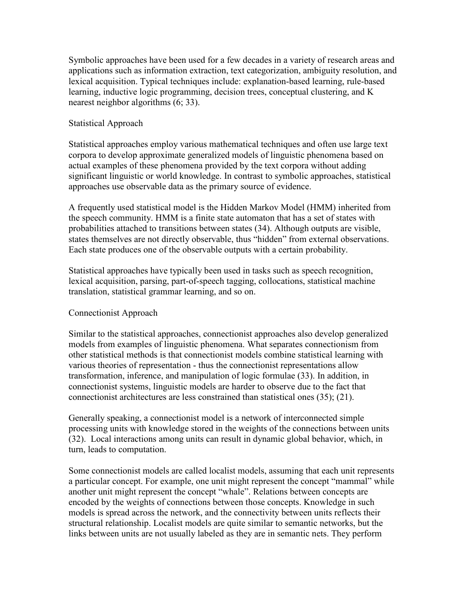Symbolic approaches have been used for a few decades in a variety of research areas and applications such as information extraction, text categorization, ambiguity resolution, and lexical acquisition. Typical techniques include: explanation-based learning, rule-based learning, inductive logic programming, decision trees, conceptual clustering, and K nearest neighbor algorithms  $(6, 33)$ .

#### Statistical Approach

Statistical approaches employ various mathematical techniques and often use large text corpora to develop approximate generalized models of linguistic phenomena based on actual examples of these phenomena provided by the text corpora without adding significant linguistic or world knowledge. In contrast to symbolic approaches, statistical approaches use observable data as the primary source of evidence.

A frequently used statistical model is the Hidden Markov Model (HMM) inherited from the speech community. HMM is a finite state automaton that has a set of states with probabilities attached to transitions between states (34). Although outputs are visible, states themselves are not directly observable, thus "hidden" from external observations. Each state produces one of the observable outputs with a certain probability.

Statistical approaches have typically been used in tasks such as speech recognition, lexical acquisition, parsing, part-of-speech tagging, collocations, statistical machine translation, statistical grammar learning, and so on.

# Connectionist Approach

Similar to the statistical approaches, connectionist approaches also develop generalized models from examples of linguistic phenomena. What separates connectionism from other statistical methods is that connectionist models combine statistical learning with various theories of representation - thus the connectionist representations allow transformation, inference, and manipulation of logic formulae (33). In addition, in connectionist systems, linguistic models are harder to observe due to the fact that connectionist architectures are less constrained than statistical ones  $(35)$ ;  $(21)$ .

Generally speaking, a connectionist model is a network of interconnected simple processing units with knowledge stored in the weights of the connections between units (32). Local interactions among units can result in dynamic global behavior, which, in turn, leads to computation.

Some connectionist models are called localist models, assuming that each unit represents a particular concept. For example, one unit might represent the concept "mammal" while another unit might represent the concept "whale". Relations between concepts are encoded by the weights of connections between those concepts. Knowledge in such models is spread across the network, and the connectivity between units reflects their structural relationship. Localist models are quite similar to semantic networks, but the links between units are not usually labeled as they are in semantic nets. They perform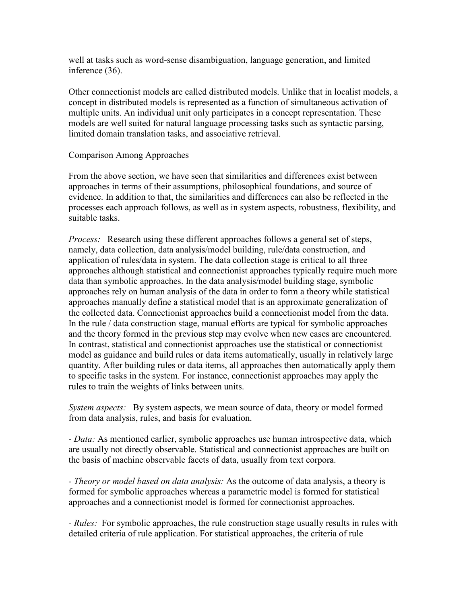well at tasks such as word-sense disambiguation, language generation, and limited inference (36).

Other connectionist models are called distributed models. Unlike that in localist models, a concept in distributed models is represented as a function of simultaneous activation of multiple units. An individual unit only participates in a concept representation. These models are well suited for natural language processing tasks such as syntactic parsing, limited domain translation tasks, and associative retrieval.

#### Comparison Among Approaches

From the above section, we have seen that similarities and differences exist between approaches in terms of their assumptions, philosophical foundations, and source of evidence. In addition to that, the similarities and differences can also be reflected in the processes each approach follows, as well as in system aspects, robustness, flexibility, and suitable tasks.

*Process:* Research using these different approaches follows a general set of steps, namely, data collection, data analysis/model building, rule/data construction, and application of rules/data in system. The data collection stage is critical to all three approaches although statistical and connectionist approaches typically require much more data than symbolic approaches. In the data analysis/model building stage, symbolic approaches rely on human analysis of the data in order to form a theory while statistical approaches manually define a statistical model that is an approximate generalization of the collected data. Connectionist approaches build a connectionist model from the data. In the rule / data construction stage, manual efforts are typical for symbolic approaches and the theory formed in the previous step may evolve when new cases are encountered. In contrast, statistical and connectionist approaches use the statistical or connectionist model as guidance and build rules or data items automatically, usually in relatively large quantity. After building rules or data items, all approaches then automatically apply them to specific tasks in the system. For instance, connectionist approaches may apply the rules to train the weights of links between units.

System aspects: By system aspects, we mean source of data, theory or model formed from data analysis, rules, and basis for evaluation.

- Data: As mentioned earlier, symbolic approaches use human introspective data, which are usually not directly observable. Statistical and connectionist approaches are built on the basis of machine observable facets of data, usually from text corpora.

- Theory or model based on data analysis: As the outcome of data analysis, a theory is formed for symbolic approaches whereas a parametric model is formed for statistical approaches and a connectionist model is formed for connectionist approaches.

- Rules: For symbolic approaches, the rule construction stage usually results in rules with detailed criteria of rule application. For statistical approaches, the criteria of rule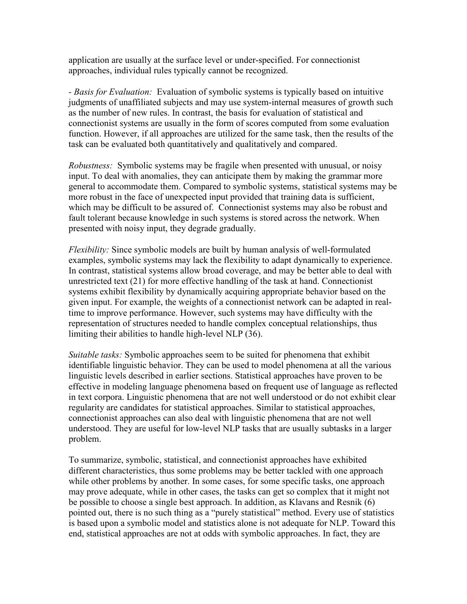application are usually at the surface level or under-specified. For connectionist approaches, individual rules typically cannot be recognized.

- Basis for Evaluation: Evaluation of symbolic systems is typically based on intuitive judgments of unaffiliated subjects and may use system-internal measures of growth such as the number of new rules. In contrast, the basis for evaluation of statistical and connectionist systems are usually in the form of scores computed from some evaluation function. However, if all approaches are utilized for the same task, then the results of the task can be evaluated both quantitatively and qualitatively and compared.

Robustness: Symbolic systems may be fragile when presented with unusual, or noisy input. To deal with anomalies, they can anticipate them by making the grammar more general to accommodate them. Compared to symbolic systems, statistical systems may be more robust in the face of unexpected input provided that training data is sufficient, which may be difficult to be assured of. Connectionist systems may also be robust and fault tolerant because knowledge in such systems is stored across the network. When presented with noisy input, they degrade gradually.

Flexibility: Since symbolic models are built by human analysis of well-formulated examples, symbolic systems may lack the flexibility to adapt dynamically to experience. In contrast, statistical systems allow broad coverage, and may be better able to deal with unrestricted text  $(21)$  for more effective handling of the task at hand. Connectionist systems exhibit flexibility by dynamically acquiring appropriate behavior based on the given input. For example, the weights of a connectionist network can be adapted in realtime to improve performance. However, such systems may have difficulty with the representation of structures needed to handle complex conceptual relationships, thus limiting their abilities to handle high-level NLP (36).

Suitable tasks: Symbolic approaches seem to be suited for phenomena that exhibit identifiable linguistic behavior. They can be used to model phenomena at all the various linguistic levels described in earlier sections. Statistical approaches have proven to be effective in modeling language phenomena based on frequent use of language as reflected in text corpora. Linguistic phenomena that are not well understood or do not exhibit clear regularity are candidates for statistical approaches. Similar to statistical approaches, connectionist approaches can also deal with linguistic phenomena that are not wel understood. They are useful for low-level NLP tasks that are usually subtasks in a larger problem.

To summarize, symbolic, statistical, and connectionist approaches have exhibited different characteristics, thus some problems may be better tackled with one approach while other problems by another. In some cases, for some specific tasks, one approach may prove adequate, while in other cases, the tasks can get so complex that it might not be possible to choose a single best approach. In addition, as Klavans and Resnik (6) pointed out, there is no such thing as a "purely statistical" method. Every use of statistics is based upon a symbolic model and statistics alone is not adequate for NLP. Toward this end, statistical approaches are not at odds with symbolic approaches. In fact, they are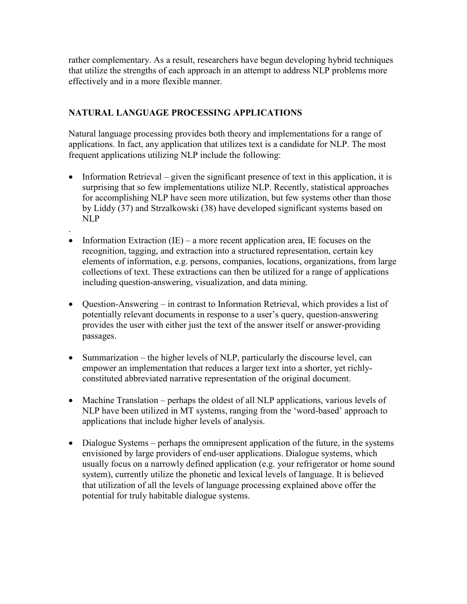rather complementary. As a result, researchers have begun developing hybrid techniques that utilize the strengths of each approach in an attempt to address NLP problems more effectively and in a more flexible manner.

# NATURAL LANGUAGE PROCESSING APPLICATIONS

.

Natural language processing provides both theory and implementations for a range of applications. In fact, any application that utilizes text is a candidate for NLP. The most frequent applications utilizing NLP include the following:

- Information Retrieval given the significant presence of text in this application, it is surprising that so few implementations utilize NLP. Recently, statistical approaches for accomplishing NLP have seen more utilization, but few systems other than those by Liddy (37) and Strzalkowski (38) have developed significant systems based on NLP
- Information Extraction (IE) a more recent application area, IE focuses on the recognition, tagging, and extraction into a structured representation, certain key elements of information, e.g. persons, companies, locations, organizations, from large collections of text. These extractions can then be utilized for a range of applications including question-answering, visualization, and data mining.
- Question-Answering in contrast to Information Retrieval, which provides a list of potentially relevant documents in response to a user's query, question-answering provides the user with either just the text of the answer itself or answer-providing passages.
- Summarization the higher levels of NLP, particularly the discourse level, can empower an implementation that reduces a larger text into a shorter, yet richlyconstituted abbreviated narrative representation of the original document.
- Machine Translation perhaps the oldest of all NLP applications, various levels of NLP have been utilized in MT systems, ranging from the 'word-based' approach to applications that include higher levels of analysis.
- Dialogue Systems perhaps the omnipresent application of the future, in the systems envisioned by large providers of end-user applications. Dialogue systems, which usually focus on a narrowly defined application (e.g. your refrigerator or home sound system), currently utilize the phonetic and lexical levels of language. It is believed that utilization of all the levels of language processing explained above offer the potential for truly habitable dialogue systems.